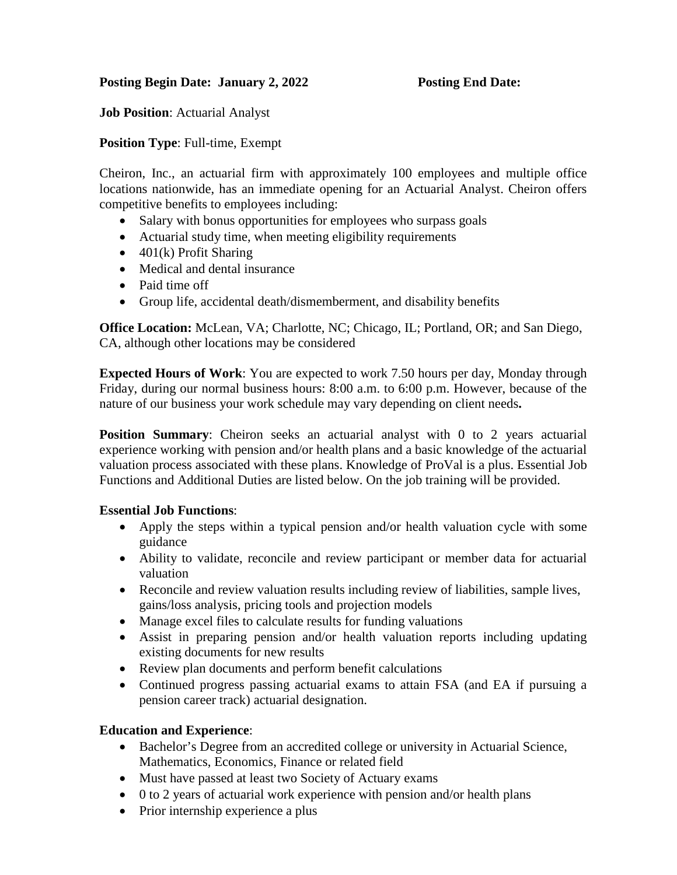## **Posting Begin Date: January 2, 2022 Posting End Date:**

**Job Position**: Actuarial Analyst

**Position Type**: Full-time, Exempt

Cheiron, Inc., an actuarial firm with approximately 100 employees and multiple office locations nationwide, has an immediate opening for an Actuarial Analyst. Cheiron offers competitive benefits to employees including:

- Salary with bonus opportunities for employees who surpass goals
- Actuarial study time, when meeting eligibility requirements
- $\bullet$  401(k) Profit Sharing
- Medical and dental insurance
- Paid time off
- Group life, accidental death/dismemberment, and disability benefits

**Office Location:** McLean, VA; Charlotte, NC; Chicago, IL; Portland, OR; and San Diego, CA, although other locations may be considered

**Expected Hours of Work**: You are expected to work 7.50 hours per day, Monday through Friday, during our normal business hours: 8:00 a.m. to 6:00 p.m. However, because of the nature of our business your work schedule may vary depending on client needs**.** 

**Position Summary:** Cheiron seeks an actuarial analyst with 0 to 2 years actuarial experience working with pension and/or health plans and a basic knowledge of the actuarial valuation process associated with these plans. Knowledge of ProVal is a plus. Essential Job Functions and Additional Duties are listed below. On the job training will be provided.

### **Essential Job Functions**:

- Apply the steps within a typical pension and/or health valuation cycle with some guidance
- Ability to validate, reconcile and review participant or member data for actuarial valuation
- Reconcile and review valuation results including review of liabilities, sample lives, gains/loss analysis, pricing tools and projection models
- Manage excel files to calculate results for funding valuations
- Assist in preparing pension and/or health valuation reports including updating existing documents for new results
- Review plan documents and perform benefit calculations
- Continued progress passing actuarial exams to attain FSA (and EA if pursuing a pension career track) actuarial designation.

### **Education and Experience**:

- Bachelor's Degree from an accredited college or university in Actuarial Science, Mathematics, Economics, Finance or related field
- Must have passed at least two Society of Actuary exams
- 0 to 2 years of actuarial work experience with pension and/or health plans
- Prior internship experience a plus